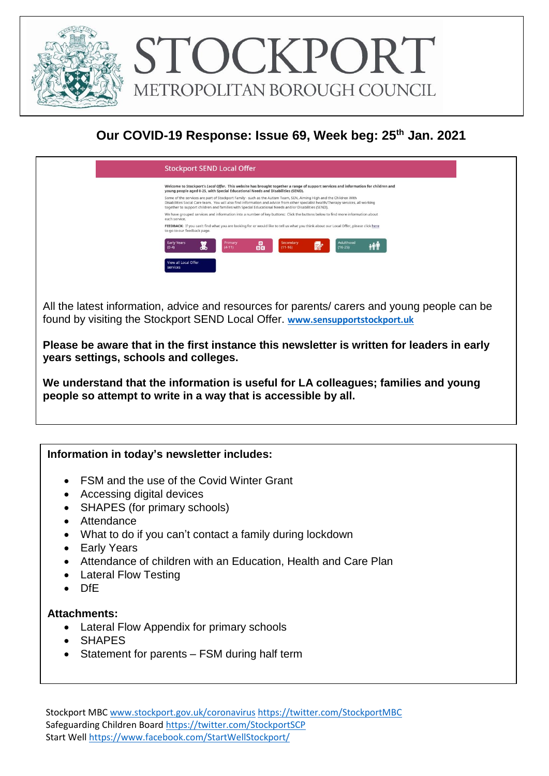

## **Our COVID-19 Response: Issue 69, Week beg: 25th Jan. 2021**



All the latest information, advice and resources for parents/ carers and young people can be found by visiting the Stockport SEND Local Offer. **[www.sensupportstockport.uk](http://www.sensupportstockport.uk/)**

**Please be aware that in the first instance this newsletter is written for leaders in early years settings, schools and colleges.**

**We understand that the information is useful for LA colleagues; families and young people so attempt to write in a way that is accessible by all.**

### **Information in today's newsletter includes:**

- FSM and the use of the Covid Winter Grant
- Accessing digital devices
- SHAPES (for primary schools)
- Attendance
- What to do if you can't contact a family during lockdown
- Early Years
- Attendance of children with an Education, Health and Care Plan
- Lateral Flow Testing
- DfE

#### **Attachments:**

- Lateral Flow Appendix for primary schools
- SHAPES
- Statement for parents FSM during half term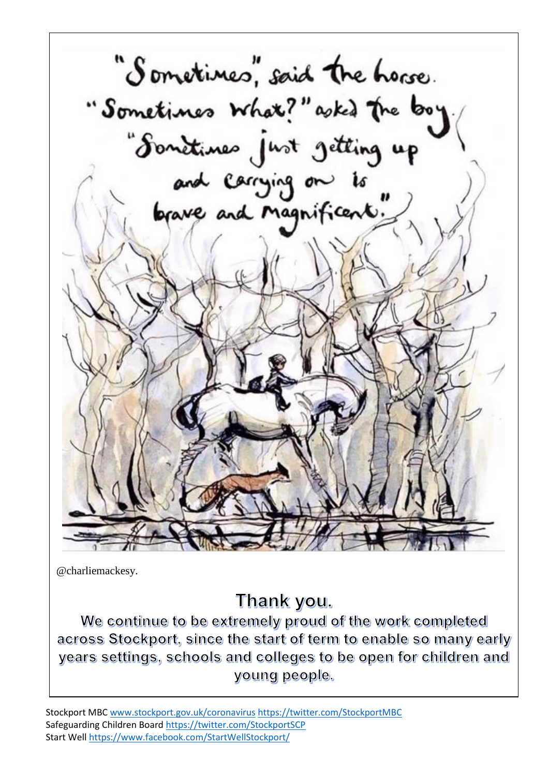"Sometimes", said the horse. "Sometimes What?" asked the boy"<br>"Sometimes just getting up"<br>and carrying on is"

@charliemackesy.

# Thank you.

We continue to be extremely proud of the work completed across Stockport, since the start of term to enable so many early years settings, schools and colleges to be open for children and young people.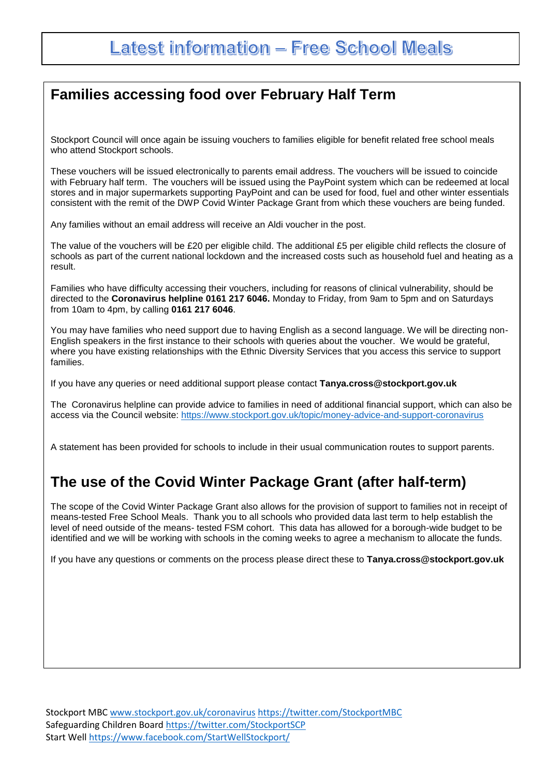## **Families accessing food over February Half Term**

Stockport Council will once again be issuing vouchers to families eligible for benefit related free school meals who attend Stockport schools.

These vouchers will be issued electronically to parents email address. The vouchers will be issued to coincide with February half term. The vouchers will be issued using the PayPoint system which can be redeemed at local stores and in major supermarkets supporting PayPoint and can be used for food, fuel and other winter essentials consistent with the remit of the DWP Covid Winter Package Grant from which these vouchers are being funded.

Any families without an email address will receive an Aldi voucher in the post.

The value of the vouchers will be £20 per eligible child. The additional £5 per eligible child reflects the closure of schools as part of the current national lockdown and the increased costs such as household fuel and heating as a result.

Families who have difficulty accessing their vouchers, including for reasons of clinical vulnerability, should be directed to the **Coronavirus helpline 0161 217 6046.** Monday to Friday, from 9am to 5pm and on Saturdays from 10am to 4pm, by calling **0161 217 6046**.

You may have families who need support due to having English as a second language. We will be directing non-English speakers in the first instance to their schools with queries about the voucher. We would be grateful, where you have existing relationships with the Ethnic Diversity Services that you access this service to support families.

If you have any queries or need additional support please contact **Tanya.cross@stockport.gov.uk**

The Coronavirus helpline can provide advice to families in need of additional financial support, which can also be access via the Council website:<https://www.stockport.gov.uk/topic/money-advice-and-support-coronavirus>

A statement has been provided for schools to include in their usual communication routes to support parents.

## **The use of the Covid Winter Package Grant (after half-term)**

The scope of the Covid Winter Package Grant also allows for the provision of support to families not in receipt of means-tested Free School Meals. Thank you to all schools who provided data last term to help establish the level of need outside of the means- tested FSM cohort. This data has allowed for a borough-wide budget to be identified and we will be working with schools in the coming weeks to agree a mechanism to allocate the funds.

If you have any questions or comments on the process please direct these to **Tanya.cross@stockport.gov.uk**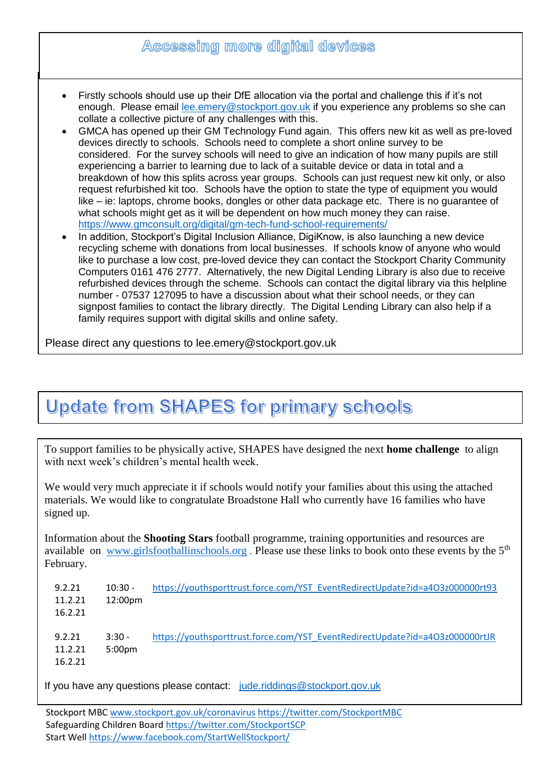|           | Accessing more digital devices                                                                                                                                                                                                                                                                                                                                                                                                                                                                                                                                                                                                                                                                                                                                                                                                                                                                                                                                                                                                                                                                                  |
|-----------|-----------------------------------------------------------------------------------------------------------------------------------------------------------------------------------------------------------------------------------------------------------------------------------------------------------------------------------------------------------------------------------------------------------------------------------------------------------------------------------------------------------------------------------------------------------------------------------------------------------------------------------------------------------------------------------------------------------------------------------------------------------------------------------------------------------------------------------------------------------------------------------------------------------------------------------------------------------------------------------------------------------------------------------------------------------------------------------------------------------------|
| $\bullet$ | Firstly schools should use up their DfE allocation via the portal and challenge this if it's not<br>enough. Please email lee.emery@stockport.gov.uk if you experience any problems so she can<br>collate a collective picture of any challenges with this.<br>GMCA has opened up their GM Technology Fund again. This offers new kit as well as pre-loved<br>devices directly to schools. Schools need to complete a short online survey to be<br>considered. For the survey schools will need to give an indication of how many pupils are still<br>experiencing a barrier to learning due to lack of a suitable device or data in total and a<br>breakdown of how this splits across year groups. Schools can just request new kit only, or also<br>request refurbished kit too. Schools have the option to state the type of equipment you would<br>like – ie: laptops, chrome books, dongles or other data package etc. There is no guarantee of<br>what schools might get as it will be dependent on how much money they can raise.<br>https://www.gmconsult.org/digital/gm-tech-fund-school-requirements/ |
| $\bullet$ | In addition, Stockport's Digital Inclusion Alliance, DigiKnow, is also launching a new device<br>recycling scheme with donations from local businesses. If schools know of anyone who would<br>like to purchase a low cost, pre-loved device they can contact the Stockport Charity Community<br>Computers 0161 476 2777. Alternatively, the new Digital Lending Library is also due to receive<br>refurbished devices through the scheme. Schools can contact the digital library via this helpline<br>number - 07537 127095 to have a discussion about what their school needs, or they can<br>signpost families to contact the library directly. The Digital Lending Library can also help if a<br>family requires support with digital skills and online safety.                                                                                                                                                                                                                                                                                                                                            |

# **Update from SHAPES for primary schools**

To support families to be physically active, SHAPES have designed the next **home challenge** to align with next week's children's mental health week.

We would very much appreciate it if schools would notify your families about this using the attached materials. We would like to congratulate Broadstone Hall who currently have 16 families who have signed up.

Information about the **Shooting Stars** football programme, training opportunities and resources are available on [www.girlsfootballinschools.org](http://www.girlsfootballinschools.org/) . Please use these links to book onto these events by the 5th February.

| 9.2.21                       | $10:30 -$                      | https://youthsporttrust.force.com/YST_EventRedirectUpdate?id=a4O3z000000rt93 |
|------------------------------|--------------------------------|------------------------------------------------------------------------------|
| 11.2.21                      | 12:00 <sub>pm</sub>            |                                                                              |
| 16.2.21                      |                                |                                                                              |
| 9.2.21<br>11.2.21<br>16.2.21 | $3:30 -$<br>5:00 <sub>pm</sub> | https://youthsporttrust.force.com/YST_EventRedirectUpdate?id=a4O3z000000rtJR |

If you have any questions please contact: [jude.riddings@stockport.gov.uk](mailto:jude.riddings@stockport.gov.uk)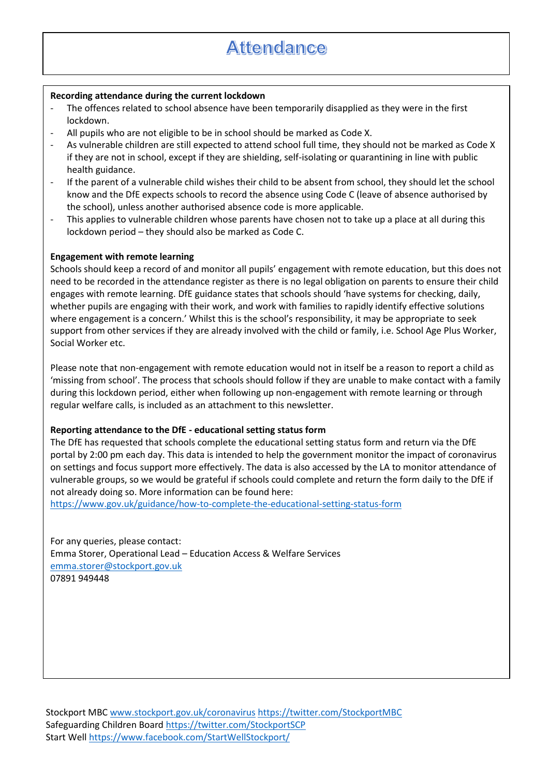# **Attendance**

#### **Recording attendance during the current lockdown**

- The offences related to school absence have been temporarily disapplied as they were in the first lockdown.
- All pupils who are not eligible to be in school should be marked as Code X.
- As vulnerable children are still expected to attend school full time, they should not be marked as Code X if they are not in school, except if they are shielding, self-isolating or quarantining in line with public health guidance.
- If the parent of a vulnerable child wishes their child to be absent from school, they should let the school know and the DfE expects schools to record the absence using Code C (leave of absence authorised by the school), unless another authorised absence code is more applicable.
- This applies to vulnerable children whose parents have chosen not to take up a place at all during this lockdown period – they should also be marked as Code C.

#### **Engagement with remote learning**

Schools should keep a record of and monitor all pupils' engagement with remote education, but this does not need to be recorded in the attendance register as there is no legal obligation on parents to ensure their child engages with remote learning. DfE guidance states that schools should 'have systems for checking, daily, whether pupils are engaging with their work, and work with families to rapidly identify effective solutions where engagement is a concern.' Whilst this is the school's responsibility, it may be appropriate to seek support from other services if they are already involved with the child or family, i.e. School Age Plus Worker, Social Worker etc.

Please note that non-engagement with remote education would not in itself be a reason to report a child as 'missing from school'. The process that schools should follow if they are unable to make contact with a family during this lockdown period, either when following up non-engagement with remote learning or through regular welfare calls, is included as an attachment to this newsletter.

#### **Reporting attendance to the DfE - educational setting status form**

The DfE has requested that schools complete the educational setting status form and return via the DfE portal by 2:00 pm each day. This data is intended to help the government monitor the impact of coronavirus on settings and focus support more effectively. The data is also accessed by the LA to monitor attendance of vulnerable groups, so we would be grateful if schools could complete and return the form daily to the DfE if not already doing so. More information can be found here:

<https://www.gov.uk/guidance/how-to-complete-the-educational-setting-status-form>

For any queries, please contact: Emma Storer, Operational Lead – Education Access & Welfare Services [emma.storer@stockport.gov.uk](mailto:emma.storer@stockport.gov.uk) 07891 949448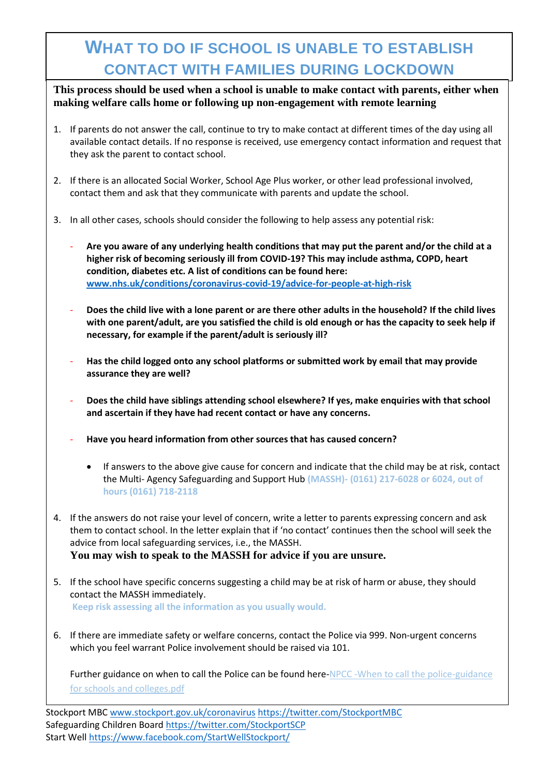# **WHAT TO DO IF SCHOOL IS UNABLE TO ESTABLISH CONTACT WITH FAMILIES DURING LOCKDOWN**

**This process should be used when a school is unable to make contact with parents, either when making welfare calls home or following up non-engagement with remote learning**

- 1. If parents do not answer the call, continue to try to make contact at different times of the day using all available contact details. If no response is received, use emergency contact information and request that they ask the parent to contact school.
- 2. If there is an allocated Social Worker, School Age Plus worker, or other lead professional involved, contact them and ask that they communicate with parents and update the school.
- 3. In all other cases, schools should consider the following to help assess any potential risk:
	- **Are you aware of any underlying health conditions that may put the parent and/or the child at a higher risk of becoming seriously ill from COVID-19? This may include asthma, COPD, heart condition, diabetes etc. A list of conditions can be found here: [www.nhs.uk/conditions/coronavirus-covid-19/advice-for-people-at-high-risk](http://www.nhs.uk/conditions/coronavirus-covid-19/advice-for-people-at-high-risk)**
	- **Does the child live with a lone parent or are there other adults in the household? If the child lives with one parent/adult, are you satisfied the child is old enough or has the capacity to seek help if necessary, for example if the parent/adult is seriously ill?**
	- **Has the child logged onto any school platforms or submitted work by email that may provide assurance they are well?**
	- **Does the child have siblings attending school elsewhere? If yes, make enquiries with that school and ascertain if they have had recent contact or have any concerns.**
	- **Have you heard information from other sources that has caused concern?**
		- If answers to the above give cause for concern and indicate that the child may be at risk, contact the Multi- Agency Safeguarding and Support Hub **(MASSH)- (0161) 217-6028 or 6024, out of hours (0161) 718-2118**
- 4. If the answers do not raise your level of concern, write a letter to parents expressing concern and ask them to contact school. In the letter explain that if 'no contact' continues then the school will seek the advice from local safeguarding services, i.e., the MASSH. **You may wish to speak to the MASSH for advice if you are unsure.**
- 5. If the school have specific concerns suggesting a child may be at risk of harm or abuse, they should contact the MASSH immediately. **Keep risk assessing all the information as you usually would.**
- 6. If there are immediate safety or welfare concerns, contact the Police via 999. Non-urgent concerns which you feel warrant Police involvement should be raised via 101.

Further guidance on when to call the Police can be found here-NPCC -When to call the police-guidance [for schools and colleges.pdf](https://www.npcc.police.uk/documents/Children%20and%20Young%20people/When%20to%20call%20the%20police%20guidance%20for%20schools%20and%20colleges.pdf)

Stockport MBC [www.stockport.gov.uk/coronavirus](http://www.stockport.gov.uk/coronavirus) <https://twitter.com/StockportMBC> Safeguarding Children Board<https://twitter.com/StockportSCP> Start Wel[l https://www.facebook.com/StartWellStockport/](https://www.facebook.com/StartWellStockport/)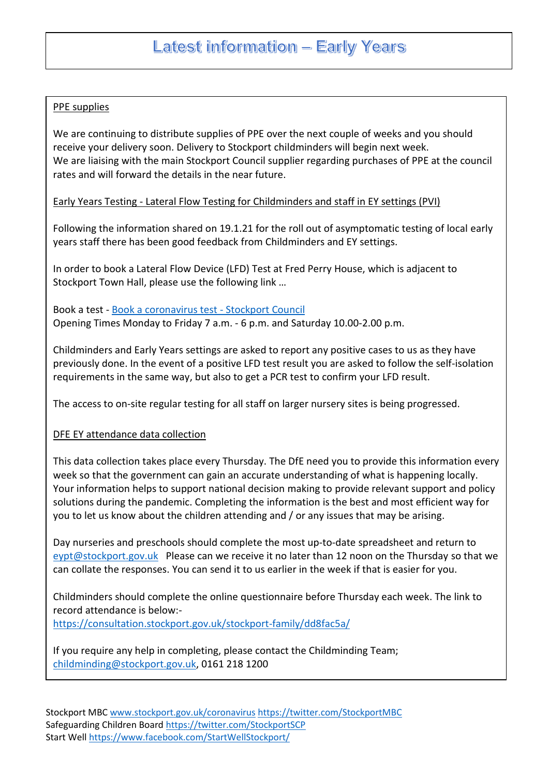#### PPE supplies

We are continuing to distribute supplies of PPE over the next couple of weeks and you should receive your delivery soon. Delivery to Stockport childminders will begin next week. We are liaising with the main Stockport Council supplier regarding purchases of PPE at the council rates and will forward the details in the near future.

#### Early Years Testing - Lateral Flow Testing for Childminders and staff in EY settings (PVI)

Following the information shared on 19.1.21 for the roll out of asymptomatic testing of local early years staff there has been good feedback from Childminders and EY settings.

In order to book a Lateral Flow Device (LFD) Test at Fred Perry House, which is adjacent to Stockport Town Hall, please use the following link …

Book a test - [Book a coronavirus test -](https://www.stockport.gov.uk/start/book-a-coronavirus-test) Stockport Council Opening Times Monday to Friday 7 a.m. - 6 p.m. and Saturday 10.00-2.00 p.m.

Childminders and Early Years settings are asked to report any positive cases to us as they have previously done. In the event of a positive LFD test result you are asked to follow the self-isolation requirements in the same way, but also to get a PCR test to confirm your LFD result.

The access to on-site regular testing for all staff on larger nursery sites is being progressed.

#### DFE EY attendance data collection

This data collection takes place every Thursday. The DfE need you to provide this information every week so that the government can gain an accurate understanding of what is happening locally. Your information helps to support national decision making to provide relevant support and policy solutions during the pandemic. Completing the information is the best and most efficient way for you to let us know about the children attending and / or any issues that may be arising.

Day nurseries and preschools should complete the most up-to-date spreadsheet and return to [eypt@stockport.gov.uk](mailto:eypt@stockport.gov.uk) Please can we receive it no later than 12 noon on the Thursday so that we can collate the responses. You can send it to us earlier in the week if that is easier for you.

Childminders should complete the online questionnaire before Thursday each week. The link to record attendance is below: <https://consultation.stockport.gov.uk/stockport-family/dd8fac5a/>

If you require any help in completing, please contact the Childminding Team; [childminding@stockport.gov.uk,](mailto:childminding@stockport.gov.uk) 0161 218 1200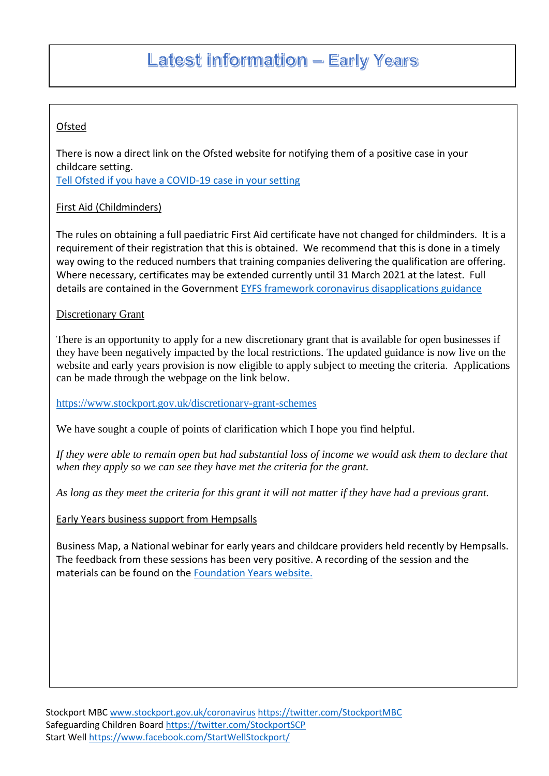### Ofsted

There is now a direct link on the Ofsted website for notifying them of a positive case in your childcare setting.

[Tell Ofsted if you have a COVID-19 case in your setting](https://www.gov.uk/guidance/tell-ofsted-if-you-have-a-covid-19-incident-at-your-childcare-business)

### First Aid (Childminders)

The rules on obtaining a full paediatric First Aid certificate have not changed for childminders. It is a requirement of their registration that this is obtained. We recommend that this is done in a timely way owing to the reduced numbers that training companies delivering the qualification are offering. Where necessary, certificates may be extended currently until 31 March 2021 at the latest. Full details are contained in the Government [EYFS framework coronavirus disapplications guidance](https://www.gov.uk/government/publications/early-years-foundation-stage-framework--2/early-years-foundation-stage-coronavirus-disapplications)

### **Discretionary Grant**

There is an opportunity to apply for a new discretionary grant that is available for open businesses if they have been negatively impacted by the local restrictions. The updated guidance is now live on the website and early years provision is now eligible to apply subject to meeting the criteria. Applications can be made through the webpage on the link below.

<https://www.stockport.gov.uk/discretionary-grant-schemes>

We have sought a couple of points of clarification which I hope you find helpful.

*If they were able to remain open but had substantial loss of income we would ask them to declare that when they apply so we can see they have met the criteria for the grant.*

*As long as they meet the criteria for this grant it will not matter if they have had a previous grant.*

### Early Years business support from Hempsalls

Business Map, a National webinar for early years and childcare providers held recently by Hempsalls. The feedback from these sessions has been very positive. A recording of the session and the materials can be found on the [Foundation Years website.](https://foundationyears.org.uk/2021/01/hempsalls-business-map-for-early-years-providers/)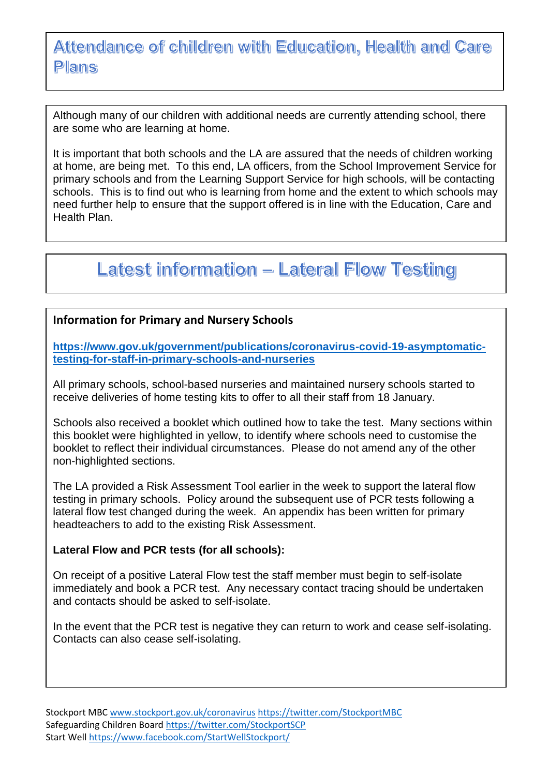# Attendance of children with Education, Health and Care **Plans**

Although many of our children with additional needs are currently attending school, there are some who are learning at home.

It is important that both schools and the LA are assured that the needs of children working at home, are being met. To this end, LA officers, from the School Improvement Service for primary schools and from the Learning Support Service for high schools, will be contacting schools. This is to find out who is learning from home and the extent to which schools may need further help to ensure that the support offered is in line with the Education, Care and Health Plan.

# **Latest information - Lateral Flow Testing**

### **Information for Primary and Nursery Schools**

**[https://www.gov.uk/government/publications/coronavirus-covid-19-asymptomatic](https://www.gov.uk/government/publications/coronavirus-covid-19-asymptomatic-testing-for-staff-in-primary-schools-and-nurseries)[testing-for-staff-in-primary-schools-and-nurseries](https://www.gov.uk/government/publications/coronavirus-covid-19-asymptomatic-testing-for-staff-in-primary-schools-and-nurseries)**

All primary schools, school-based nurseries and maintained nursery schools started to receive deliveries of home testing kits to offer to all their staff from 18 January.

Schools also received a booklet which outlined how to take the test. Many sections within this booklet were highlighted in yellow, to identify where schools need to customise the booklet to reflect their individual circumstances. Please do not amend any of the other non-highlighted sections.

The LA provided a Risk Assessment Tool earlier in the week to support the lateral flow testing in primary schools. Policy around the subsequent use of PCR tests following a lateral flow test changed during the week. An appendix has been written for primary headteachers to add to the existing Risk Assessment.

### **Lateral Flow and PCR tests (for all schools):**

On receipt of a positive Lateral Flow test the staff member must begin to self-isolate immediately and book a PCR test. Any necessary contact tracing should be undertaken and contacts should be asked to self-isolate.

In the event that the PCR test is negative they can return to work and cease self-isolating. Contacts can also cease self-isolating.

Stockport MBC [www.stockport.gov.uk/coronavirus](http://www.stockport.gov.uk/coronavirus) <https://twitter.com/StockportMBC> Safeguarding Children Board<https://twitter.com/StockportSCP> Start Wel[l https://www.facebook.com/StartWellStockport/](https://www.facebook.com/StartWellStockport/)